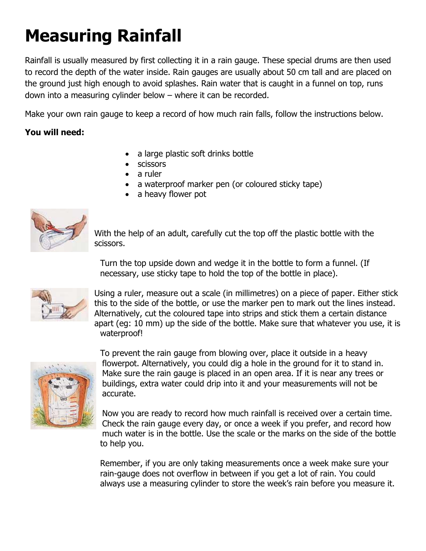## **Measuring Rainfall**

Rainfall is usually measured by first collecting it in a rain gauge. These special drums are then used to record the depth of the water inside. Rain gauges are usually about 50 cm tall and are placed on the ground just high enough to avoid splashes. Rain water that is caught in a funnel on top, runs down into a measuring cylinder below – where it can be recorded.

Make your own rain gauge to keep a record of how much rain falls, follow the instructions below.

## **You will need:**

- a large plastic soft drinks bottle
- scissors
- a ruler
- a waterproof marker pen (or coloured sticky tape)
- a heavy flower pot



With the help of an adult, carefully cut the top off the plastic bottle with the scissors.

Turn the top upside down and wedge it in the bottle to form a funnel. (If necessary, use sticky tape to hold the top of the bottle in place).



Using a ruler, measure out a scale (in millimetres) on a piece of paper. Either stick this to the side of the bottle, or use the marker pen to mark out the lines instead. Alternatively, cut the coloured tape into strips and stick them a certain distance apart (eg: 10 mm) up the side of the bottle. Make sure that whatever you use, it is waterproof!



To prevent the rain gauge from blowing over, place it outside in a heavy flowerpot. Alternatively, you could dig a hole in the ground for it to stand in. Make sure the rain gauge is placed in an open area. If it is near any trees or buildings, extra water could drip into it and your measurements will not be accurate.

Now you are ready to record how much rainfall is received over a certain time. Check the rain gauge every day, or once a week if you prefer, and record how much water is in the bottle. Use the scale or the marks on the side of the bottle to help you.

Remember, if you are only taking measurements once a week make sure your rain-gauge does not overflow in between if you get a lot of rain. You could always use a measuring cylinder to store the week's rain before you measure it.